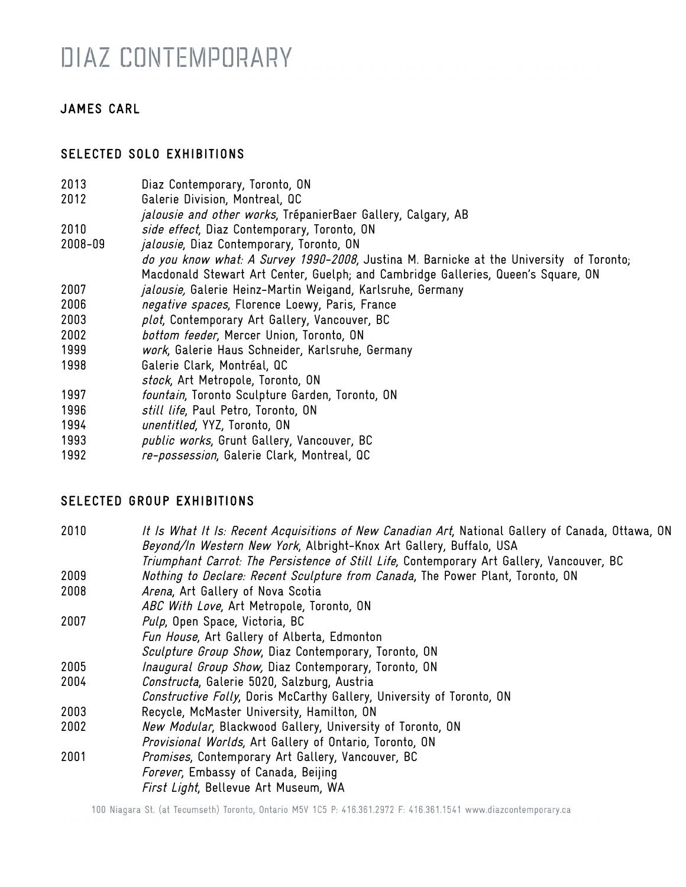## DIAZ CONTEMPORARY

## JAMES CARL

### SELECTED SOLO EXHIBITIONS

- 2013 Diaz Contemporary, Toronto, ON
- 2012 Galerie Division, Montreal, QC
- jalousie and other works, TrépanierBaer Gallery, Calgary, AB
- 2010 *side effect*, Diaz Contemporary, Toronto, ON
- 2008-09 *jalousie*, Diaz Contemporary, Toronto, ON do you know what: A Survey 1990-2008, Justina M. Barnicke at the University of Toronto; Macdonald Stewart Art Center, Guelph; and Cambridge Galleries, Queen's Square, ON
- 2007 *jalousie,* Galerie Heinz-Martin Weigand, Karlsruhe, Germany
- 2006 negative spaces, Florence Loewy, Paris, France
- 2003 plot, Contemporary Art Gallery, Vancouver, BC
- 2002 bottom feeder, Mercer Union, Toronto, ON
- 1999 work, Galerie Haus Schneider, Karlsruhe, Germany
- 1998 Galerie Clark, Montréal, QC
- stock, Art Metropole, Toronto, ON
- 1997 fountain, Toronto Sculpture Garden, Toronto, ON
- 1996 *still life*, Paul Petro, Toronto, ON
- 1994 unentitled, YYZ, Toronto, ON
- 1993 public works, Grunt Gallery, Vancouver, BC
- 1992 re-possession, Galerie Clark, Montreal, QC

## SELECTED GROUP EXHIBITIONS

| 2010 | It Is What It Is: Recent Acquisitions of New Canadian Art, National Gallery of Canada, Ottawa, ON |
|------|---------------------------------------------------------------------------------------------------|
|      | Beyond/In Western New York, Albright-Knox Art Gallery, Buffalo, USA                               |
|      | Triumphant Carrot: The Persistence of Still Life, Contemporary Art Gallery, Vancouver, BC         |
| 2009 | Nothing to Declare: Recent Sculpture from Canada, The Power Plant, Toronto, ON                    |
| 2008 | Arena, Art Gallery of Nova Scotia                                                                 |
|      | ABC With Love, Art Metropole, Toronto, ON                                                         |
| 2007 | Pulp, Open Space, Victoria, BC                                                                    |
|      | Fun House, Art Gallery of Alberta, Edmonton                                                       |
|      | Sculpture Group Show, Diaz Contemporary, Toronto, ON                                              |
| 2005 | <i>Inaugural Group Show, Diaz Contemporary, Toronto, ON</i>                                       |
| 2004 | Constructa, Galerie 5020, Salzburg, Austria                                                       |
|      | Constructive Folly, Doris McCarthy Gallery, University of Toronto, ON                             |
| 2003 | Recycle, McMaster University, Hamilton, ON                                                        |
| 2002 | New Modular, Blackwood Gallery, University of Toronto, ON                                         |
|      | Provisional Worlds, Art Gallery of Ontario, Toronto, ON                                           |
| 2001 | Promises, Contemporary Art Gallery, Vancouver, BC                                                 |
|      | Forever, Embassy of Canada, Beijing                                                               |
|      | First Light, Bellevue Art Museum, WA                                                              |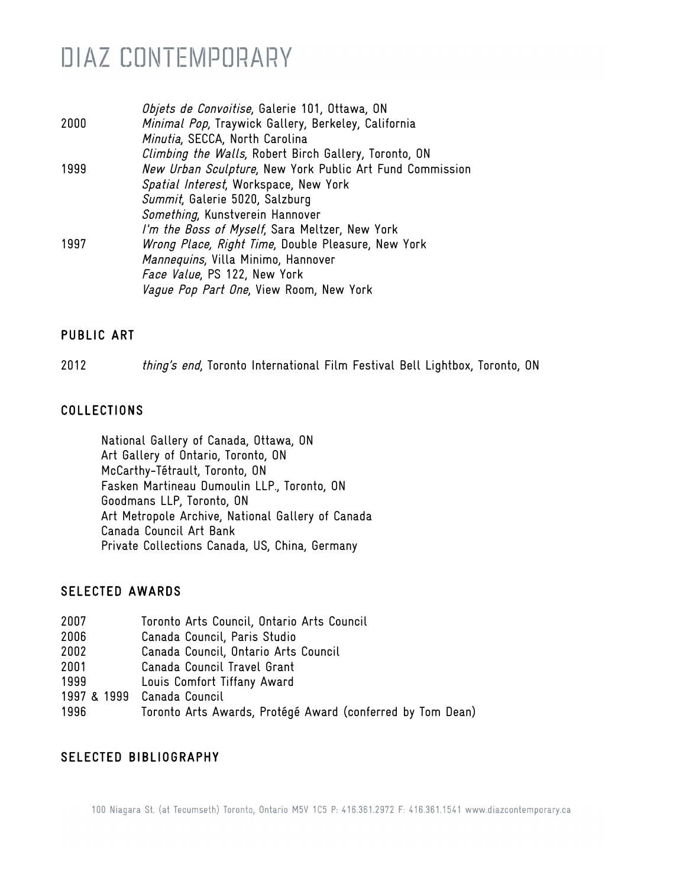## DIAZ CONTEMPORARY

|      | Objets de Convoitise, Galerie 101, Ottawa, ON            |
|------|----------------------------------------------------------|
| 2000 | Minimal Pop, Traywick Gallery, Berkeley, California      |
|      | Minutia, SECCA, North Carolina                           |
|      | Climbing the Walls, Robert Birch Gallery, Toronto, ON    |
| 1999 | New Urban Sculpture, New York Public Art Fund Commission |
|      | Spatial Interest, Workspace, New York                    |
|      | Summit, Galerie 5020, Salzburg                           |
|      | Something, Kunstverein Hannover                          |
|      | I'm the Boss of Myself, Sara Meltzer, New York           |
| 1997 | Wrong Place, Right Time, Double Pleasure, New York       |
|      | Mannequins, Villa Minimo, Hannover                       |
|      | Face Value, PS 122, New York                             |
|      | Vague Pop Part One, View Room, New York                  |
|      |                                                          |

#### PUBLIC ART

2012 thing's end, Toronto International Film Festival Bell Lightbox, Toronto, ON

#### COLLECTIONS

National Gallery of Canada, Ottawa, ON Art Gallery of Ontario, Toronto, ON McCarthy-Tétrault, Toronto, ON Fasken Martineau Dumoulin LLP., Toronto, ON Goodmans LLP, Toronto, ON Art Metropole Archive, National Gallery of Canada Canada Council Art Bank Private Collections Canada, US, China, Germany

#### SELECTED AWARDS

| 2007 | Toronto Arts Council, Ontario Arts Council                 |
|------|------------------------------------------------------------|
| 2006 | Canada Council, Paris Studio                               |
| 2002 | Canada Council, Ontario Arts Council                       |
| 2001 | Canada Council Travel Grant                                |
| 1999 | Louis Comfort Tiffany Award                                |
|      | 1997 & 1999 Canada Council                                 |
| 1996 | Toronto Arts Awards, Protégé Award (conferred by Tom Dean) |

#### SELECTED BIBLIOGRAPHY